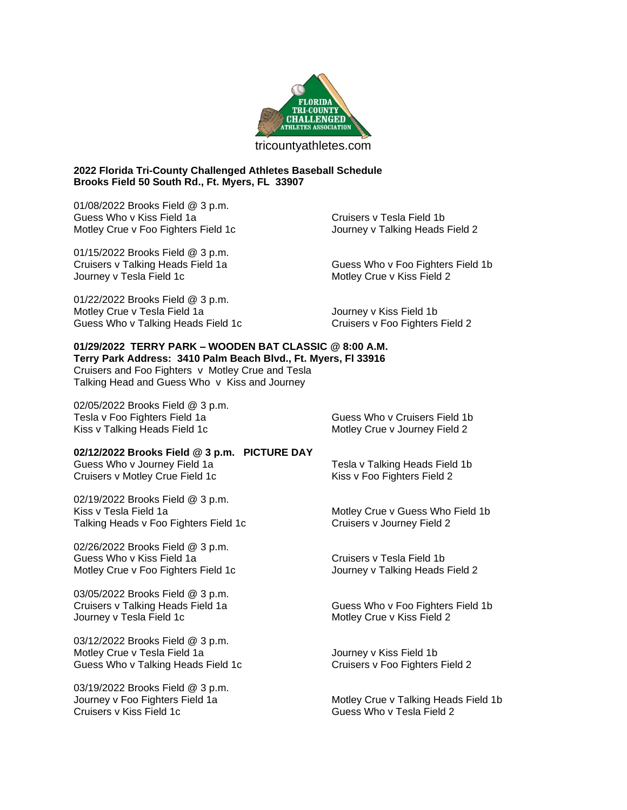

## **2022 Florida Tri-County Challenged Athletes Baseball Schedule Brooks Field 50 South Rd., Ft. Myers, FL 33907**

01/08/2022 Brooks Field @ 3 p.m. Guess Who v Kiss Field 1a Cruisers v Tesla Field 1b Motley Crue v Foo Fighters Field 1c **Journey v Talking Heads Field 2** 

01/15/2022 Brooks Field @ 3 p.m. Journey v Tesla Field 1c and the Motley Crue v Kiss Field 2

Cruisers v Talking Heads Field 1a Guess Who v Foo Fighters Field 1b

01/22/2022 Brooks Field @ 3 p.m. Motley Crue v Tesla Field 1a **Journey v Kiss Field 1b** Guess Who v Talking Heads Field 1c Cruisers v Foo Fighters Field 2

## **01/29/2022 TERRY PARK – WOODEN BAT CLASSIC @ 8:00 A.M. Terry Park Address: 3410 Palm Beach Blvd., Ft. Myers, Fl 33916**

Cruisers and Foo Fighters v Motley Crue and Tesla Talking Head and Guess Who v Kiss and Journey

02/05/2022 Brooks Field @ 3 p.m. Tesla v Foo Fighters Field 1a Guess Who v Cruisers Field 1b Kiss v Talking Heads Field 1c **Motley Crue v Journey Field 2** Motley Crue v Journey Field 2

## **02/12/2022 Brooks Field @ 3 p.m. PICTURE DAY**

Guess Who v Journey Field 1a **Tesla v Talking Heads Field 1b** Cruisers v Motley Crue Field 1c Kiss v Foo Fighters Field 2

02/19/2022 Brooks Field @ 3 p.m. Kiss v Tesla Field 1a **Motley Crue v Guess Who Field 1b** Motley Crue v Guess Who Field 1b Talking Heads v Foo Fighters Field 1c Cruisers v Journey Field 2

02/26/2022 Brooks Field @ 3 p.m. Guess Who v Kiss Field 1a Cruisers v Tesla Field 1b Motley Crue v Foo Fighters Field 1c **Journey v Talking Heads Field 2** 

03/05/2022 Brooks Field @ 3 p.m. Journey v Tesla Field 1c and Tesler Crue v Kiss Field 2

03/12/2022 Brooks Field @ 3 p.m. Motley Crue v Tesla Field 1a **Journey v Kiss Field 1b** Guess Who v Talking Heads Field 1c **Cruisers v Foo Fighters Field 2** 

03/19/2022 Brooks Field @ 3 p.m.

Cruisers v Talking Heads Field 1a Guess Who v Foo Fighters Field 1b

Journey v Foo Fighters Field 1a Motley Crue v Talking Heads Field 1b<br>Cruisers v Kiss Field 1c<br>Guess Who v Tesla Field 2 Guess Who v Tesla Field 2